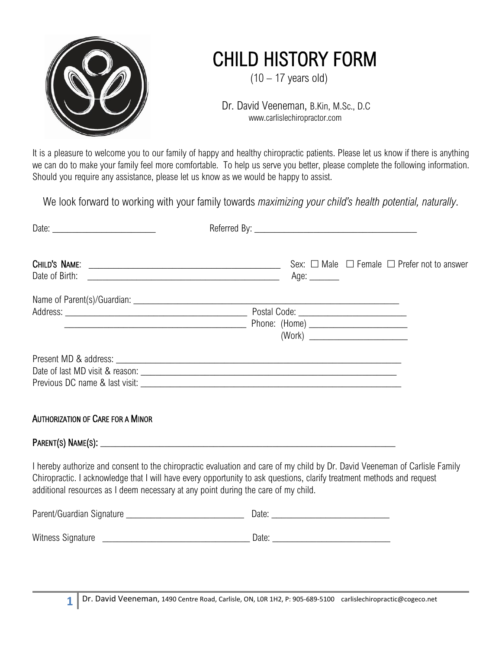

# CHILD HISTORY FORM<br>
(10 – 17 years old)

 Dr. David Veeneman, B.Kin, M.Sc., D.C www.carlislechiropractor.com

It is a pleasure to welcome you to our family of happy and healthy chiropractic patients. Please let us know if there is anything we can do to make your family feel more comfortable. To help us serve you better, please complete the following information. Should you require any assistance, please let us know as we would be happy to assist.

We look forward to working with your family towards *maximizing your child's health potential, naturally*.

|                                                                                    | CHILD'S NAME: $\_\_\_\_\_\_\_\_\_\_\_\_$ Sex: $\_\_\_\_\_\_\_\_\_\_\_$ Female $\_\_\_\_\_\_\_\_$ Prefer not to answer                                                                                                                                 |
|------------------------------------------------------------------------------------|-------------------------------------------------------------------------------------------------------------------------------------------------------------------------------------------------------------------------------------------------------|
|                                                                                    |                                                                                                                                                                                                                                                       |
|                                                                                    | Address: National Postal Code: National Postal Code: National Postal Code: National Postal Code: National Post                                                                                                                                        |
|                                                                                    |                                                                                                                                                                                                                                                       |
| <b>AUTHORIZATION OF CARE FOR A MINOR</b>                                           |                                                                                                                                                                                                                                                       |
|                                                                                    |                                                                                                                                                                                                                                                       |
| additional resources as I deem necessary at any point during the care of my child. | I hereby authorize and consent to the chiropractic evaluation and care of my child by Dr. David Veeneman of Carlisle Family<br>Chiropractic. I acknowledge that I will have every opportunity to ask questions, clarify treatment methods and request |
|                                                                                    |                                                                                                                                                                                                                                                       |
|                                                                                    |                                                                                                                                                                                                                                                       |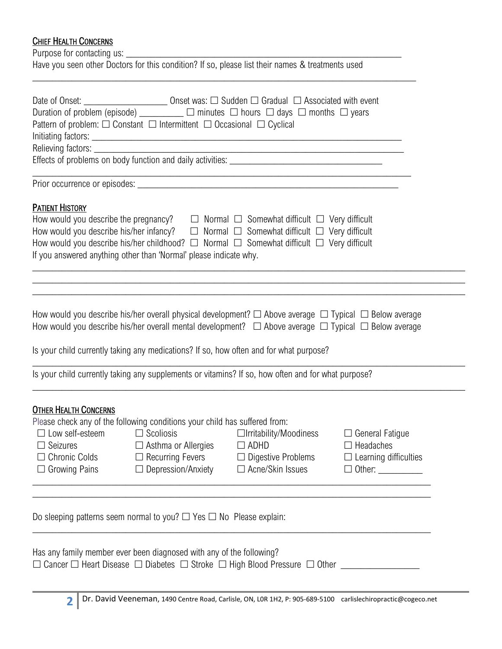# **CHIEF HEALTH CONCERNS**

Purpose for contacting us: \_\_\_\_\_\_\_\_\_\_\_\_\_\_\_\_\_\_\_\_\_\_\_\_\_\_\_\_\_\_\_\_\_\_\_\_\_\_\_\_\_\_\_\_\_\_\_\_\_\_\_\_\_\_\_\_

|  | Have you seen other Doctors for this condition? If so, please list their names & treatments used |
|--|--------------------------------------------------------------------------------------------------|
|--|--------------------------------------------------------------------------------------------------|

| Date of Onset: ____________________________Onset was: $\Box$ Sudden $\Box$ Gradual $\Box$ Associated with event<br>Duration of problem (episode) $\Box$ $\Box$ minutes $\Box$ hours $\Box$ days $\Box$ months $\Box$ years<br>Pattern of problem: $\Box$ Constant $\Box$ Intermittent $\Box$ Occasional $\Box$ Cyclical                                                                                                                  |                                                                                                                                 |                                                                                                                                |
|------------------------------------------------------------------------------------------------------------------------------------------------------------------------------------------------------------------------------------------------------------------------------------------------------------------------------------------------------------------------------------------------------------------------------------------|---------------------------------------------------------------------------------------------------------------------------------|--------------------------------------------------------------------------------------------------------------------------------|
| Relieving factors: ____________                                                                                                                                                                                                                                                                                                                                                                                                          | <u> 1989 - Johann Barn, mars ann an t-Amhain Aonaich an t-Aonaich an t-Aonaich ann an t-Aonaich ann an t-Aonaich</u>            |                                                                                                                                |
|                                                                                                                                                                                                                                                                                                                                                                                                                                          |                                                                                                                                 |                                                                                                                                |
|                                                                                                                                                                                                                                                                                                                                                                                                                                          | <u> 1989 - Johann Stoff, deutscher Stoffen und der Stoffen und der Stoffen und der Stoffen und der Stoffen und der</u>          |                                                                                                                                |
| <b>PATIENT HISTORY</b><br>How would you describe the pregnancy? $\square$ Normal $\square$ Somewhat difficult $\square$ Very difficult<br>How would you describe his/her infancy? $\square$ Normal $\square$ Somewhat difficult $\square$ Very difficult<br>How would you describe his/her childhood? $\Box$ Normal $\Box$ Somewhat difficult $\Box$ Very difficult<br>If you answered anything other than 'Normal' please indicate why. |                                                                                                                                 |                                                                                                                                |
| How would you describe his/her overall physical development? $\Box$ Above average $\Box$ Typical $\Box$ Below average<br>How would you describe his/her overall mental development? $\Box$ Above average $\Box$ Typical $\Box$ Below average<br>Is your child currently taking any medications? If so, how often and for what purpose?                                                                                                   |                                                                                                                                 |                                                                                                                                |
| Is your child currently taking any supplements or vitamins? If so, how often and for what purpose?                                                                                                                                                                                                                                                                                                                                       |                                                                                                                                 |                                                                                                                                |
| <b>OTHER HEALTH CONCERNS</b><br>Please check any of the following conditions your child has suffered from:<br>$\Box$ Low self-esteem $\Box$ Scoliosis<br>$\Box$ Seizures<br>□ Chronic Colds<br>$\Box$ Recurring Fevers<br>$\Box$ Growing Pains<br>$\Box$ Depression/Anxiety                                                                                                                                                              | $\Box$ Irritability/Moodiness<br>$\Box$ Asthma or Allergies $\Box$ ADHD<br>$\Box$ Digestive Problems<br>$\Box$ Acne/Skin Issues | $\Box$ General Fatigue<br>$\Box$ Headaches<br>$\Box$ Learning difficulties<br>$\Box$ Other: $\_\_\_\_\_\_\_\_\_\_\_\_\_\_\_\_$ |
| Do sleeping patterns seem normal to you? $\Box$ Yes $\Box$ No Please explain:                                                                                                                                                                                                                                                                                                                                                            |                                                                                                                                 |                                                                                                                                |
| Has any family member ever been diagnosed with any of the following?                                                                                                                                                                                                                                                                                                                                                                     |                                                                                                                                 |                                                                                                                                |
| 2                                                                                                                                                                                                                                                                                                                                                                                                                                        | Dr. David Veeneman, 1490 Centre Road, Carlisle, ON, LOR 1H2, P: 905-689-5100 carlislechiropractic@cogeco.net                    |                                                                                                                                |